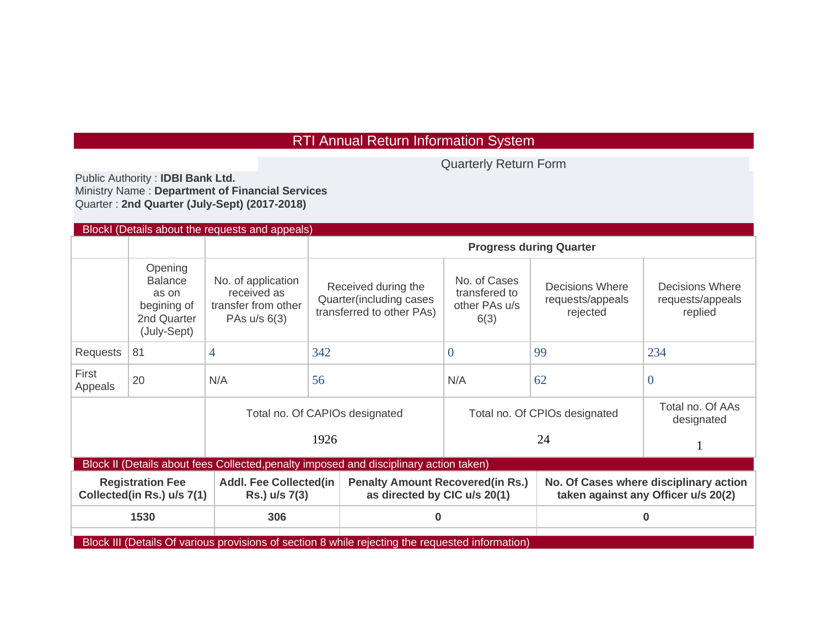## RTI Annual Return Information System

Quarterly Return Form

Public Authority : **IDBI Bank Ltd.**  Ministry Name : **Department of Financial Services**  Quarter : **2nd Quarter (July-Sept) (2017-2018)**

| BlockI (Details about the requests and appeals)                                                  |                                                                                 |                                                                          |                                                                             |                                                                          |                                                 |                                                                               |  |  |  |  |
|--------------------------------------------------------------------------------------------------|---------------------------------------------------------------------------------|--------------------------------------------------------------------------|-----------------------------------------------------------------------------|--------------------------------------------------------------------------|-------------------------------------------------|-------------------------------------------------------------------------------|--|--|--|--|
|                                                                                                  |                                                                                 |                                                                          | <b>Progress during Quarter</b>                                              |                                                                          |                                                 |                                                                               |  |  |  |  |
|                                                                                                  | Opening<br><b>Balance</b><br>as on<br>begining of<br>2nd Quarter<br>(July-Sept) | No. of application<br>received as<br>transfer from other<br>PAs u/s 6(3) | Received during the<br>Quarter(including cases<br>transferred to other PAs) | No. of Cases<br>transfered to<br>other PAs u/s<br>6(3)                   | Decisions Where<br>requests/appeals<br>rejected |                                                                               |  |  |  |  |
| Requests                                                                                         | 81                                                                              | 4                                                                        | 342                                                                         | $\theta$                                                                 | 99                                              | 234                                                                           |  |  |  |  |
| First<br>Appeals                                                                                 | 20                                                                              | N/A                                                                      | 56                                                                          | N/A                                                                      | 62                                              | $\theta$                                                                      |  |  |  |  |
|                                                                                                  |                                                                                 |                                                                          | Total no. Of CAPIOs designated                                              |                                                                          | Total no. Of CPIOs designated                   |                                                                               |  |  |  |  |
|                                                                                                  |                                                                                 |                                                                          | 1926                                                                        |                                                                          |                                                 |                                                                               |  |  |  |  |
| Block II (Details about fees Collected, penalty imposed and disciplinary action taken)           |                                                                                 |                                                                          |                                                                             |                                                                          |                                                 |                                                                               |  |  |  |  |
| <b>Registration Fee</b><br>Collected(in Rs.) u/s 7(1)                                            |                                                                                 | <b>Addl. Fee Collected(in</b><br>Rs.) u/s 7(3)                           |                                                                             | <b>Penalty Amount Recovered (in Rs.)</b><br>as directed by CIC u/s 20(1) |                                                 | No. Of Cases where disciplinary action<br>taken against any Officer u/s 20(2) |  |  |  |  |
| 1530                                                                                             |                                                                                 | 306                                                                      |                                                                             | 0                                                                        |                                                 | $\bf{0}$                                                                      |  |  |  |  |
| Block III (Details Of various provisions of section 8 while rejecting the requested information) |                                                                                 |                                                                          |                                                                             |                                                                          |                                                 |                                                                               |  |  |  |  |